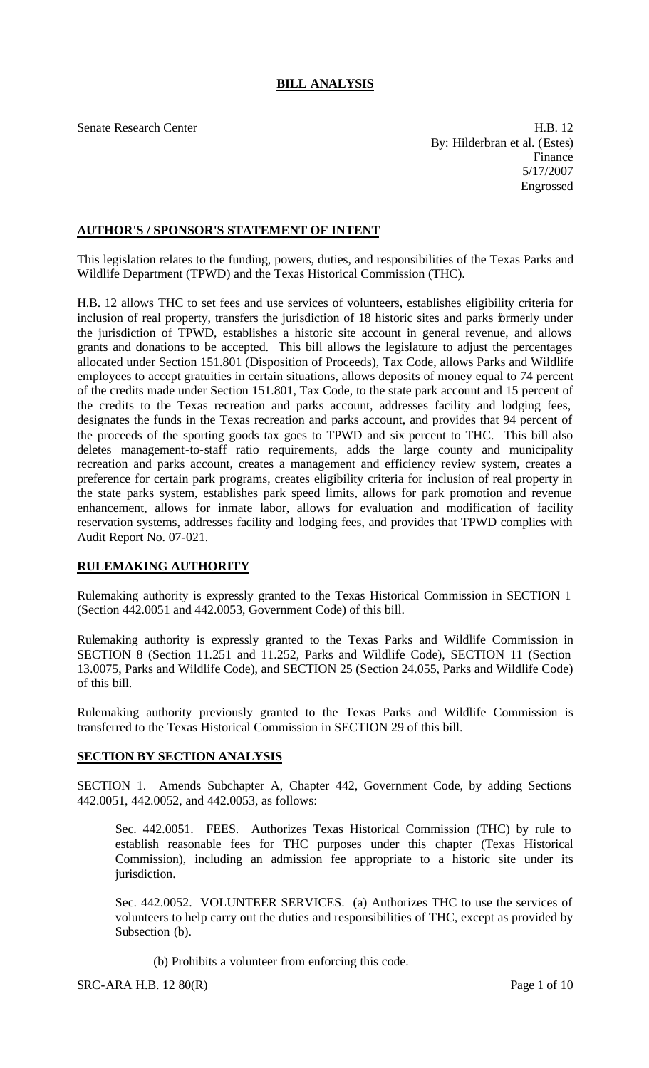# **BILL ANALYSIS**

Senate Research Center **H.B. 12** By: Hilderbran et al. (Estes) Finance 5/17/2007 Engrossed

## **AUTHOR'S / SPONSOR'S STATEMENT OF INTENT**

This legislation relates to the funding, powers, duties, and responsibilities of the Texas Parks and Wildlife Department (TPWD) and the Texas Historical Commission (THC).

H.B. 12 allows THC to set fees and use services of volunteers, establishes eligibility criteria for inclusion of real property, transfers the jurisdiction of 18 historic sites and parks formerly under the jurisdiction of TPWD, establishes a historic site account in general revenue, and allows grants and donations to be accepted. This bill allows the legislature to adjust the percentages allocated under Section 151.801 (Disposition of Proceeds), Tax Code, allows Parks and Wildlife employees to accept gratuities in certain situations, allows deposits of money equal to 74 percent of the credits made under Section 151.801, Tax Code, to the state park account and 15 percent of the credits to the Texas recreation and parks account, addresses facility and lodging fees, designates the funds in the Texas recreation and parks account, and provides that 94 percent of the proceeds of the sporting goods tax goes to TPWD and six percent to THC. This bill also deletes management-to-staff ratio requirements, adds the large county and municipality recreation and parks account, creates a management and efficiency review system, creates a preference for certain park programs, creates eligibility criteria for inclusion of real property in the state parks system, establishes park speed limits, allows for park promotion and revenue enhancement, allows for inmate labor, allows for evaluation and modification of facility reservation systems, addresses facility and lodging fees, and provides that TPWD complies with Audit Report No. 07-021.

### **RULEMAKING AUTHORITY**

Rulemaking authority is expressly granted to the Texas Historical Commission in SECTION 1 (Section 442.0051 and 442.0053, Government Code) of this bill.

Rulemaking authority is expressly granted to the Texas Parks and Wildlife Commission in SECTION 8 (Section 11.251 and 11.252, Parks and Wildlife Code), SECTION 11 (Section 13.0075, Parks and Wildlife Code), and SECTION 25 (Section 24.055, Parks and Wildlife Code) of this bill.

Rulemaking authority previously granted to the Texas Parks and Wildlife Commission is transferred to the Texas Historical Commission in SECTION 29 of this bill.

### **SECTION BY SECTION ANALYSIS**

SECTION 1. Amends Subchapter A, Chapter 442, Government Code, by adding Sections 442.0051, 442.0052, and 442.0053, as follows:

Sec. 442.0051. FEES. Authorizes Texas Historical Commission (THC) by rule to establish reasonable fees for THC purposes under this chapter (Texas Historical Commission), including an admission fee appropriate to a historic site under its jurisdiction.

Sec. 442.0052. VOLUNTEER SERVICES. (a) Authorizes THC to use the services of volunteers to help carry out the duties and responsibilities of THC, except as provided by Subsection (b).

(b) Prohibits a volunteer from enforcing this code.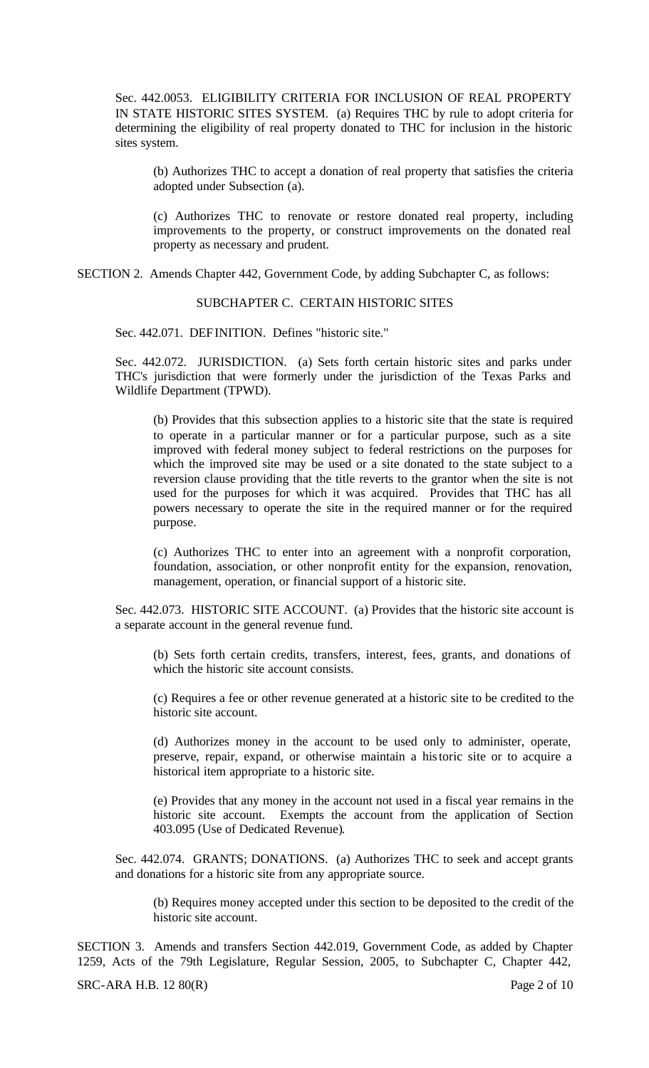Sec. 442.0053. ELIGIBILITY CRITERIA FOR INCLUSION OF REAL PROPERTY IN STATE HISTORIC SITES SYSTEM. (a) Requires THC by rule to adopt criteria for determining the eligibility of real property donated to THC for inclusion in the historic sites system.

(b) Authorizes THC to accept a donation of real property that satisfies the criteria adopted under Subsection (a).

(c) Authorizes THC to renovate or restore donated real property, including improvements to the property, or construct improvements on the donated real property as necessary and prudent.

SECTION 2. Amends Chapter 442, Government Code, by adding Subchapter C, as follows:

#### SUBCHAPTER C. CERTAIN HISTORIC SITES

Sec. 442.071. DEFINITION. Defines "historic site."

Sec. 442.072. JURISDICTION. (a) Sets forth certain historic sites and parks under THC's jurisdiction that were formerly under the jurisdiction of the Texas Parks and Wildlife Department (TPWD).

(b) Provides that this subsection applies to a historic site that the state is required to operate in a particular manner or for a particular purpose, such as a site improved with federal money subject to federal restrictions on the purposes for which the improved site may be used or a site donated to the state subject to a reversion clause providing that the title reverts to the grantor when the site is not used for the purposes for which it was acquired. Provides that THC has all powers necessary to operate the site in the required manner or for the required purpose.

(c) Authorizes THC to enter into an agreement with a nonprofit corporation, foundation, association, or other nonprofit entity for the expansion, renovation, management, operation, or financial support of a historic site.

Sec. 442.073. HISTORIC SITE ACCOUNT. (a) Provides that the historic site account is a separate account in the general revenue fund.

(b) Sets forth certain credits, transfers, interest, fees, grants, and donations of which the historic site account consists.

(c) Requires a fee or other revenue generated at a historic site to be credited to the historic site account.

(d) Authorizes money in the account to be used only to administer, operate, preserve, repair, expand, or otherwise maintain a historic site or to acquire a historical item appropriate to a historic site.

(e) Provides that any money in the account not used in a fiscal year remains in the historic site account. Exempts the account from the application of Section 403.095 (Use of Dedicated Revenue).

Sec. 442.074. GRANTS; DONATIONS. (a) Authorizes THC to seek and accept grants and donations for a historic site from any appropriate source.

(b) Requires money accepted under this section to be deposited to the credit of the historic site account.

SECTION 3. Amends and transfers Section 442.019, Government Code, as added by Chapter 1259, Acts of the 79th Legislature, Regular Session, 2005, to Subchapter C, Chapter 442,

 $SRC-ARA H.B. 12 80(R)$  Page 2 of 10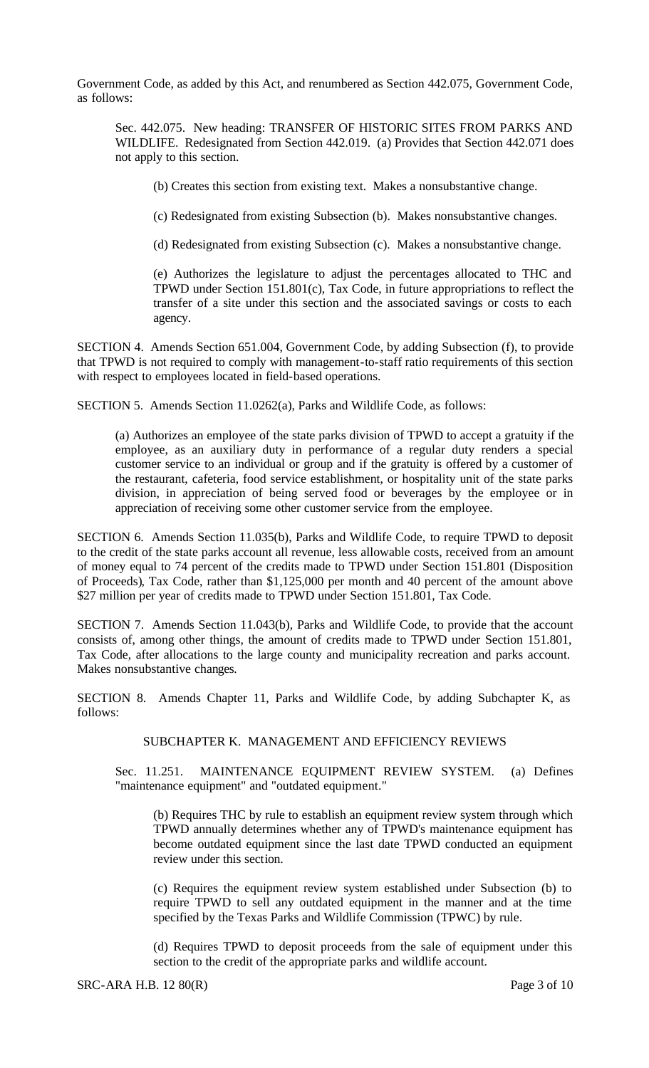Government Code, as added by this Act, and renumbered as Section 442.075, Government Code, as follows:

Sec. 442.075. New heading: TRANSFER OF HISTORIC SITES FROM PARKS AND WILDLIFE. Redesignated from Section 442.019. (a) Provides that Section 442.071 does not apply to this section.

(b) Creates this section from existing text. Makes a nonsubstantive change.

(c) Redesignated from existing Subsection (b). Makes nonsubstantive changes.

(d) Redesignated from existing Subsection (c). Makes a nonsubstantive change.

(e) Authorizes the legislature to adjust the percentages allocated to THC and TPWD under Section 151.801(c), Tax Code, in future appropriations to reflect the transfer of a site under this section and the associated savings or costs to each agency.

SECTION 4. Amends Section 651.004, Government Code, by adding Subsection (f), to provide that TPWD is not required to comply with management-to-staff ratio requirements of this section with respect to employees located in field-based operations.

SECTION 5. Amends Section 11.0262(a), Parks and Wildlife Code, as follows:

(a) Authorizes an employee of the state parks division of TPWD to accept a gratuity if the employee, as an auxiliary duty in performance of a regular duty renders a special customer service to an individual or group and if the gratuity is offered by a customer of the restaurant, cafeteria, food service establishment, or hospitality unit of the state parks division, in appreciation of being served food or beverages by the employee or in appreciation of receiving some other customer service from the employee.

SECTION 6. Amends Section 11.035(b), Parks and Wildlife Code, to require TPWD to deposit to the credit of the state parks account all revenue, less allowable costs, received from an amount of money equal to 74 percent of the credits made to TPWD under Section 151.801 (Disposition of Proceeds), Tax Code, rather than \$1,125,000 per month and 40 percent of the amount above \$27 million per year of credits made to TPWD under Section 151.801, Tax Code.

SECTION 7. Amends Section 11.043(b), Parks and Wildlife Code, to provide that the account consists of, among other things, the amount of credits made to TPWD under Section 151.801, Tax Code, after allocations to the large county and municipality recreation and parks account. Makes nonsubstantive changes.

SECTION 8. Amends Chapter 11, Parks and Wildlife Code, by adding Subchapter K, as follows:

### SUBCHAPTER K. MANAGEMENT AND EFFICIENCY REVIEWS

Sec. 11.251. MAINTENANCE EQUIPMENT REVIEW SYSTEM. (a) Defines "maintenance equipment" and "outdated equipment."

(b) Requires THC by rule to establish an equipment review system through which TPWD annually determines whether any of TPWD's maintenance equipment has become outdated equipment since the last date TPWD conducted an equipment review under this section.

(c) Requires the equipment review system established under Subsection (b) to require TPWD to sell any outdated equipment in the manner and at the time specified by the Texas Parks and Wildlife Commission (TPWC) by rule.

(d) Requires TPWD to deposit proceeds from the sale of equipment under this section to the credit of the appropriate parks and wildlife account.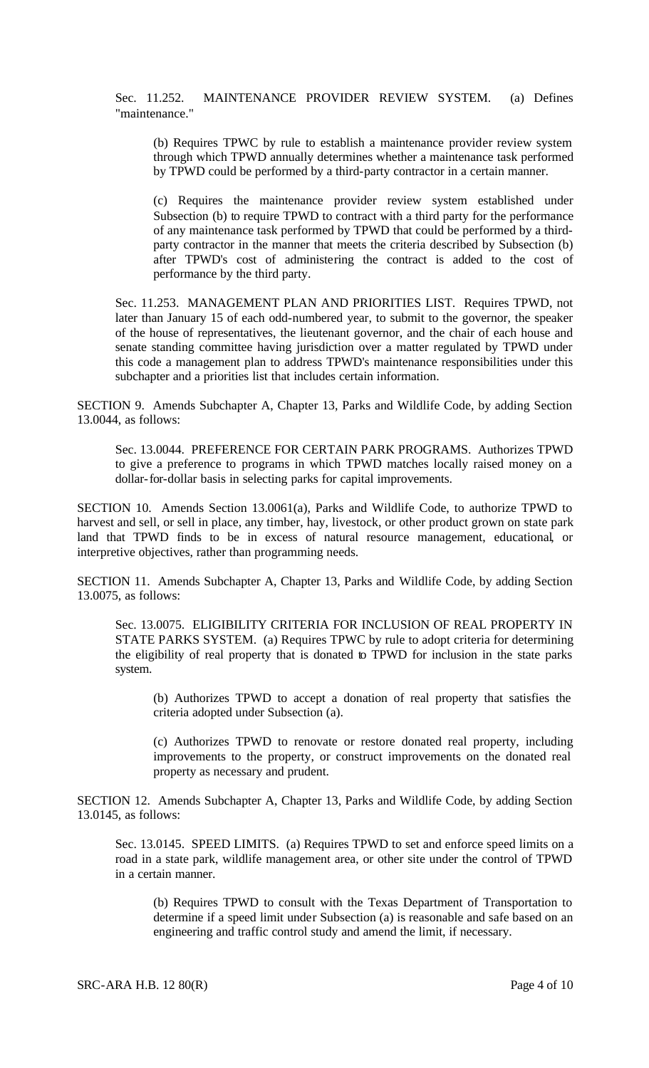Sec. 11.252. MAINTENANCE PROVIDER REVIEW SYSTEM. (a) Defines "maintenance."

(b) Requires TPWC by rule to establish a maintenance provider review system through which TPWD annually determines whether a maintenance task performed by TPWD could be performed by a third-party contractor in a certain manner.

(c) Requires the maintenance provider review system established under Subsection (b) to require TPWD to contract with a third party for the performance of any maintenance task performed by TPWD that could be performed by a thirdparty contractor in the manner that meets the criteria described by Subsection (b) after TPWD's cost of administering the contract is added to the cost of performance by the third party.

Sec. 11.253. MANAGEMENT PLAN AND PRIORITIES LIST. Requires TPWD, not later than January 15 of each odd-numbered year, to submit to the governor, the speaker of the house of representatives, the lieutenant governor, and the chair of each house and senate standing committee having jurisdiction over a matter regulated by TPWD under this code a management plan to address TPWD's maintenance responsibilities under this subchapter and a priorities list that includes certain information.

SECTION 9. Amends Subchapter A, Chapter 13, Parks and Wildlife Code, by adding Section 13.0044, as follows:

Sec. 13.0044. PREFERENCE FOR CERTAIN PARK PROGRAMS. Authorizes TPWD to give a preference to programs in which TPWD matches locally raised money on a dollar-for-dollar basis in selecting parks for capital improvements.

SECTION 10. Amends Section 13.0061(a), Parks and Wildlife Code, to authorize TPWD to harvest and sell, or sell in place, any timber, hay, livestock, or other product grown on state park land that TPWD finds to be in excess of natural resource management, educational, or interpretive objectives, rather than programming needs.

SECTION 11. Amends Subchapter A, Chapter 13, Parks and Wildlife Code, by adding Section 13.0075, as follows:

Sec. 13.0075. ELIGIBILITY CRITERIA FOR INCLUSION OF REAL PROPERTY IN STATE PARKS SYSTEM. (a) Requires TPWC by rule to adopt criteria for determining the eligibility of real property that is donated to TPWD for inclusion in the state parks system.

(b) Authorizes TPWD to accept a donation of real property that satisfies the criteria adopted under Subsection (a).

(c) Authorizes TPWD to renovate or restore donated real property, including improvements to the property, or construct improvements on the donated real property as necessary and prudent.

SECTION 12. Amends Subchapter A, Chapter 13, Parks and Wildlife Code, by adding Section 13.0145, as follows:

Sec. 13.0145. SPEED LIMITS. (a) Requires TPWD to set and enforce speed limits on a road in a state park, wildlife management area, or other site under the control of TPWD in a certain manner.

(b) Requires TPWD to consult with the Texas Department of Transportation to determine if a speed limit under Subsection (a) is reasonable and safe based on an engineering and traffic control study and amend the limit, if necessary.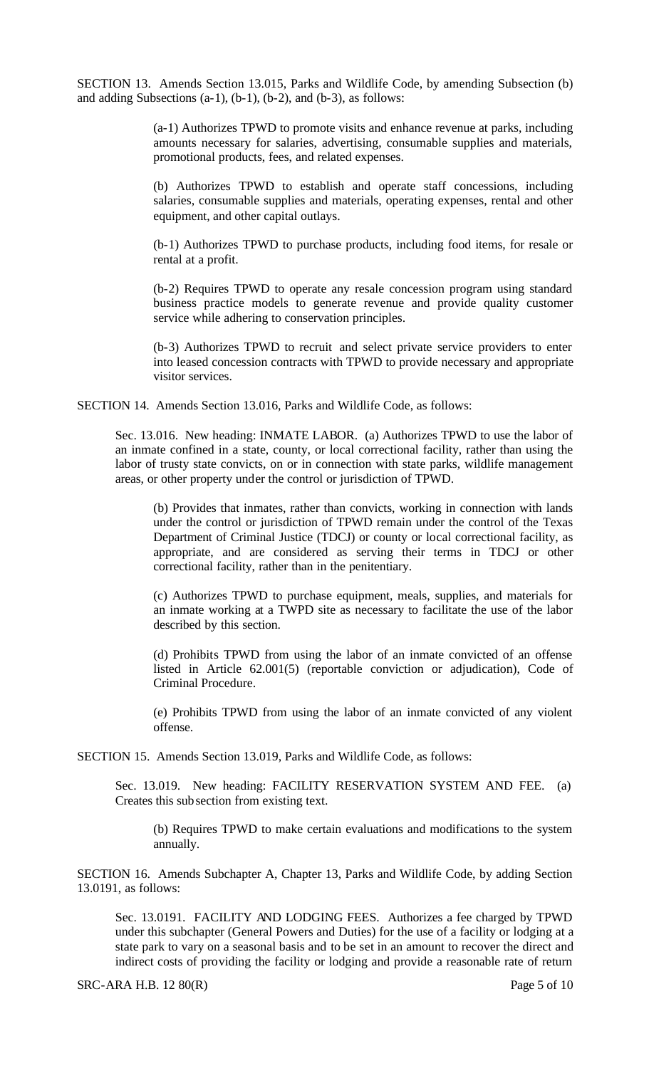SECTION 13. Amends Section 13.015, Parks and Wildlife Code, by amending Subsection (b) and adding Subsections (a-1), (b-1), (b-2), and (b-3), as follows:

> (a-1) Authorizes TPWD to promote visits and enhance revenue at parks, including amounts necessary for salaries, advertising, consumable supplies and materials, promotional products, fees, and related expenses.

> (b) Authorizes TPWD to establish and operate staff concessions, including salaries, consumable supplies and materials, operating expenses, rental and other equipment, and other capital outlays.

> (b-1) Authorizes TPWD to purchase products, including food items, for resale or rental at a profit.

> (b-2) Requires TPWD to operate any resale concession program using standard business practice models to generate revenue and provide quality customer service while adhering to conservation principles.

> (b-3) Authorizes TPWD to recruit and select private service providers to enter into leased concession contracts with TPWD to provide necessary and appropriate visitor services.

SECTION 14. Amends Section 13.016, Parks and Wildlife Code, as follows:

Sec. 13.016. New heading: INMATE LABOR. (a) Authorizes TPWD to use the labor of an inmate confined in a state, county, or local correctional facility, rather than using the labor of trusty state convicts, on or in connection with state parks, wildlife management areas, or other property under the control or jurisdiction of TPWD.

(b) Provides that inmates, rather than convicts, working in connection with lands under the control or jurisdiction of TPWD remain under the control of the Texas Department of Criminal Justice (TDCJ) or county or local correctional facility, as appropriate, and are considered as serving their terms in TDCJ or other correctional facility, rather than in the penitentiary.

(c) Authorizes TPWD to purchase equipment, meals, supplies, and materials for an inmate working at a TWPD site as necessary to facilitate the use of the labor described by this section.

(d) Prohibits TPWD from using the labor of an inmate convicted of an offense listed in Article 62.001(5) (reportable conviction or adjudication), Code of Criminal Procedure.

(e) Prohibits TPWD from using the labor of an inmate convicted of any violent offense.

SECTION 15. Amends Section 13.019, Parks and Wildlife Code, as follows:

Sec. 13.019. New heading: FACILITY RESERVATION SYSTEM AND FEE. (a) Creates this subsection from existing text.

(b) Requires TPWD to make certain evaluations and modifications to the system annually.

SECTION 16. Amends Subchapter A, Chapter 13, Parks and Wildlife Code, by adding Section 13.0191, as follows:

Sec. 13.0191. FACILITY AND LODGING FEES. Authorizes a fee charged by TPWD under this subchapter (General Powers and Duties) for the use of a facility or lodging at a state park to vary on a seasonal basis and to be set in an amount to recover the direct and indirect costs of providing the facility or lodging and provide a reasonable rate of return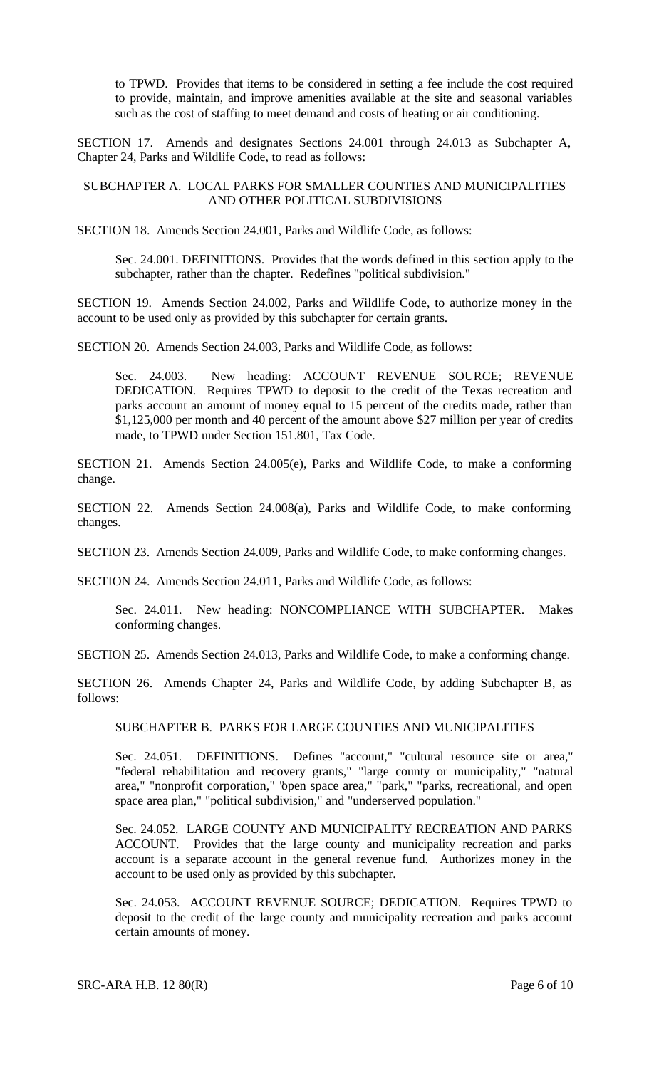to TPWD. Provides that items to be considered in setting a fee include the cost required to provide, maintain, and improve amenities available at the site and seasonal variables such as the cost of staffing to meet demand and costs of heating or air conditioning.

SECTION 17. Amends and designates Sections 24.001 through 24.013 as Subchapter A, Chapter 24, Parks and Wildlife Code, to read as follows:

#### SUBCHAPTER A. LOCAL PARKS FOR SMALLER COUNTIES AND MUNICIPALITIES AND OTHER POLITICAL SUBDIVISIONS

SECTION 18. Amends Section 24.001, Parks and Wildlife Code, as follows:

Sec. 24.001. DEFINITIONS. Provides that the words defined in this section apply to the subchapter, rather than the chapter. Redefines "political subdivision."

SECTION 19. Amends Section 24.002, Parks and Wildlife Code, to authorize money in the account to be used only as provided by this subchapter for certain grants.

SECTION 20. Amends Section 24.003, Parks and Wildlife Code, as follows:

Sec. 24.003. New heading: ACCOUNT REVENUE SOURCE; REVENUE DEDICATION. Requires TPWD to deposit to the credit of the Texas recreation and parks account an amount of money equal to 15 percent of the credits made, rather than \$1,125,000 per month and 40 percent of the amount above \$27 million per year of credits made, to TPWD under Section 151.801, Tax Code.

SECTION 21. Amends Section 24.005(e), Parks and Wildlife Code, to make a conforming change.

SECTION 22. Amends Section 24.008(a), Parks and Wildlife Code, to make conforming changes.

SECTION 23. Amends Section 24.009, Parks and Wildlife Code, to make conforming changes.

SECTION 24. Amends Section 24.011, Parks and Wildlife Code, as follows:

Sec. 24.011. New heading: NONCOMPLIANCE WITH SUBCHAPTER. Makes conforming changes.

SECTION 25. Amends Section 24.013, Parks and Wildlife Code, to make a conforming change.

SECTION 26. Amends Chapter 24, Parks and Wildlife Code, by adding Subchapter B, as follows:

SUBCHAPTER B. PARKS FOR LARGE COUNTIES AND MUNICIPALITIES

Sec. 24.051. DEFINITIONS. Defines "account," "cultural resource site or area," "federal rehabilitation and recovery grants," "large county or municipality," "natural area," "nonprofit corporation," "open space area," "park," "parks, recreational, and open space area plan," "political subdivision," and "underserved population."

Sec. 24.052. LARGE COUNTY AND MUNICIPALITY RECREATION AND PARKS ACCOUNT. Provides that the large county and municipality recreation and parks account is a separate account in the general revenue fund. Authorizes money in the account to be used only as provided by this subchapter.

Sec. 24.053. ACCOUNT REVENUE SOURCE; DEDICATION. Requires TPWD to deposit to the credit of the large county and municipality recreation and parks account certain amounts of money.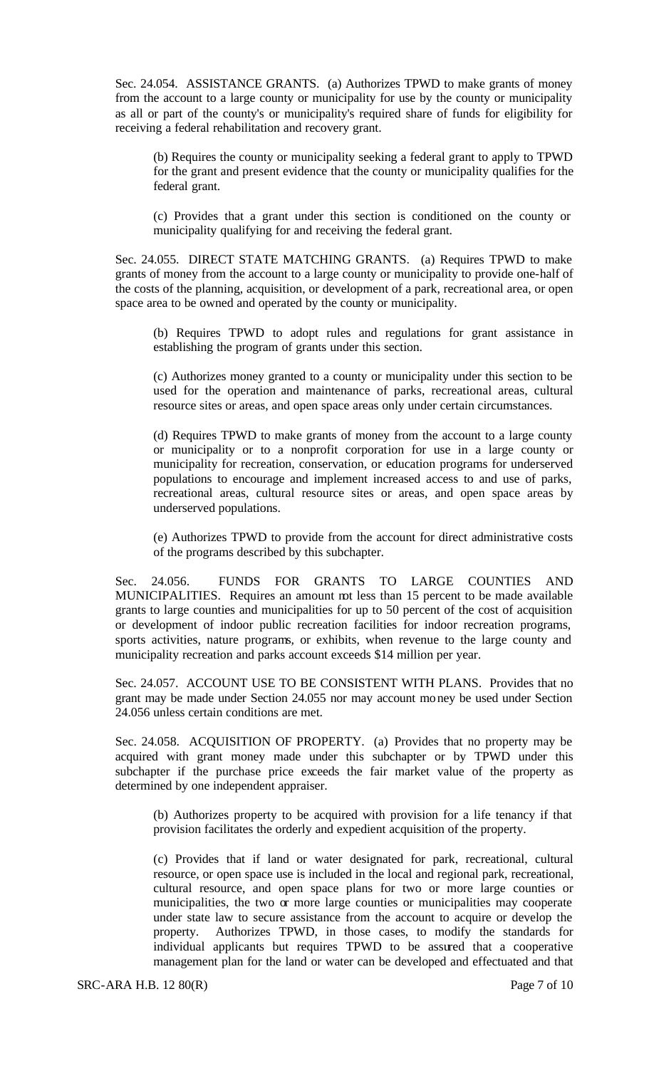Sec. 24.054. ASSISTANCE GRANTS. (a) Authorizes TPWD to make grants of money from the account to a large county or municipality for use by the county or municipality as all or part of the county's or municipality's required share of funds for eligibility for receiving a federal rehabilitation and recovery grant.

(b) Requires the county or municipality seeking a federal grant to apply to TPWD for the grant and present evidence that the county or municipality qualifies for the federal grant.

(c) Provides that a grant under this section is conditioned on the county or municipality qualifying for and receiving the federal grant.

Sec. 24.055. DIRECT STATE MATCHING GRANTS. (a) Requires TPWD to make grants of money from the account to a large county or municipality to provide one-half of the costs of the planning, acquisition, or development of a park, recreational area, or open space area to be owned and operated by the county or municipality.

(b) Requires TPWD to adopt rules and regulations for grant assistance in establishing the program of grants under this section.

(c) Authorizes money granted to a county or municipality under this section to be used for the operation and maintenance of parks, recreational areas, cultural resource sites or areas, and open space areas only under certain circumstances.

(d) Requires TPWD to make grants of money from the account to a large county or municipality or to a nonprofit corporation for use in a large county or municipality for recreation, conservation, or education programs for underserved populations to encourage and implement increased access to and use of parks, recreational areas, cultural resource sites or areas, and open space areas by underserved populations.

(e) Authorizes TPWD to provide from the account for direct administrative costs of the programs described by this subchapter.

Sec. 24.056. FUNDS FOR GRANTS TO LARGE COUNTIES AND MUNICIPALITIES. Requires an amount mt less than 15 percent to be made available grants to large counties and municipalities for up to 50 percent of the cost of acquisition or development of indoor public recreation facilities for indoor recreation programs, sports activities, nature programs, or exhibits, when revenue to the large county and municipality recreation and parks account exceeds \$14 million per year.

Sec. 24.057. ACCOUNT USE TO BE CONSISTENT WITH PLANS. Provides that no grant may be made under Section 24.055 nor may account money be used under Section 24.056 unless certain conditions are met.

Sec. 24.058. ACQUISITION OF PROPERTY. (a) Provides that no property may be acquired with grant money made under this subchapter or by TPWD under this subchapter if the purchase price exceeds the fair market value of the property as determined by one independent appraiser.

(b) Authorizes property to be acquired with provision for a life tenancy if that provision facilitates the orderly and expedient acquisition of the property.

(c) Provides that if land or water designated for park, recreational, cultural resource, or open space use is included in the local and regional park, recreational, cultural resource, and open space plans for two or more large counties or municipalities, the two or more large counties or municipalities may cooperate under state law to secure assistance from the account to acquire or develop the property. Authorizes TPWD, in those cases, to modify the standards for individual applicants but requires TPWD to be assured that a cooperative management plan for the land or water can be developed and effectuated and that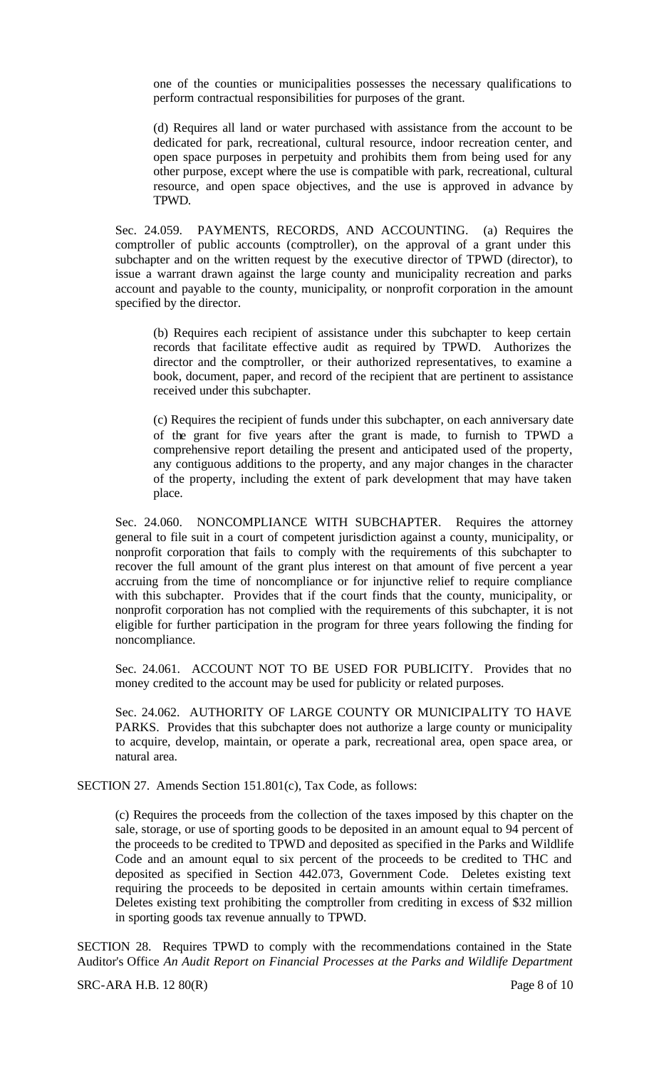one of the counties or municipalities possesses the necessary qualifications to perform contractual responsibilities for purposes of the grant.

(d) Requires all land or water purchased with assistance from the account to be dedicated for park, recreational, cultural resource, indoor recreation center, and open space purposes in perpetuity and prohibits them from being used for any other purpose, except where the use is compatible with park, recreational, cultural resource, and open space objectives, and the use is approved in advance by TPWD.

Sec. 24.059. PAYMENTS, RECORDS, AND ACCOUNTING. (a) Requires the comptroller of public accounts (comptroller), on the approval of a grant under this subchapter and on the written request by the executive director of TPWD (director), to issue a warrant drawn against the large county and municipality recreation and parks account and payable to the county, municipality, or nonprofit corporation in the amount specified by the director.

(b) Requires each recipient of assistance under this subchapter to keep certain records that facilitate effective audit as required by TPWD. Authorizes the director and the comptroller, or their authorized representatives, to examine a book, document, paper, and record of the recipient that are pertinent to assistance received under this subchapter.

(c) Requires the recipient of funds under this subchapter, on each anniversary date of the grant for five years after the grant is made, to furnish to TPWD a comprehensive report detailing the present and anticipated used of the property, any contiguous additions to the property, and any major changes in the character of the property, including the extent of park development that may have taken place.

Sec. 24.060. NONCOMPLIANCE WITH SUBCHAPTER. Requires the attorney general to file suit in a court of competent jurisdiction against a county, municipality, or nonprofit corporation that fails to comply with the requirements of this subchapter to recover the full amount of the grant plus interest on that amount of five percent a year accruing from the time of noncompliance or for injunctive relief to require compliance with this subchapter. Provides that if the court finds that the county, municipality, or nonprofit corporation has not complied with the requirements of this subchapter, it is not eligible for further participation in the program for three years following the finding for noncompliance.

Sec. 24.061. ACCOUNT NOT TO BE USED FOR PUBLICITY. Provides that no money credited to the account may be used for publicity or related purposes.

Sec. 24.062. AUTHORITY OF LARGE COUNTY OR MUNICIPALITY TO HAVE PARKS. Provides that this subchapter does not authorize a large county or municipality to acquire, develop, maintain, or operate a park, recreational area, open space area, or natural area.

SECTION 27. Amends Section 151.801(c), Tax Code, as follows:

(c) Requires the proceeds from the collection of the taxes imposed by this chapter on the sale, storage, or use of sporting goods to be deposited in an amount equal to 94 percent of the proceeds to be credited to TPWD and deposited as specified in the Parks and Wildlife Code and an amount equal to six percent of the proceeds to be credited to THC and deposited as specified in Section 442.073, Government Code. Deletes existing text requiring the proceeds to be deposited in certain amounts within certain timeframes. Deletes existing text prohibiting the comptroller from crediting in excess of \$32 million in sporting goods tax revenue annually to TPWD.

SECTION 28. Requires TPWD to comply with the recommendations contained in the State Auditor's Office *An Audit Report on Financial Processes at the Parks and Wildlife Department*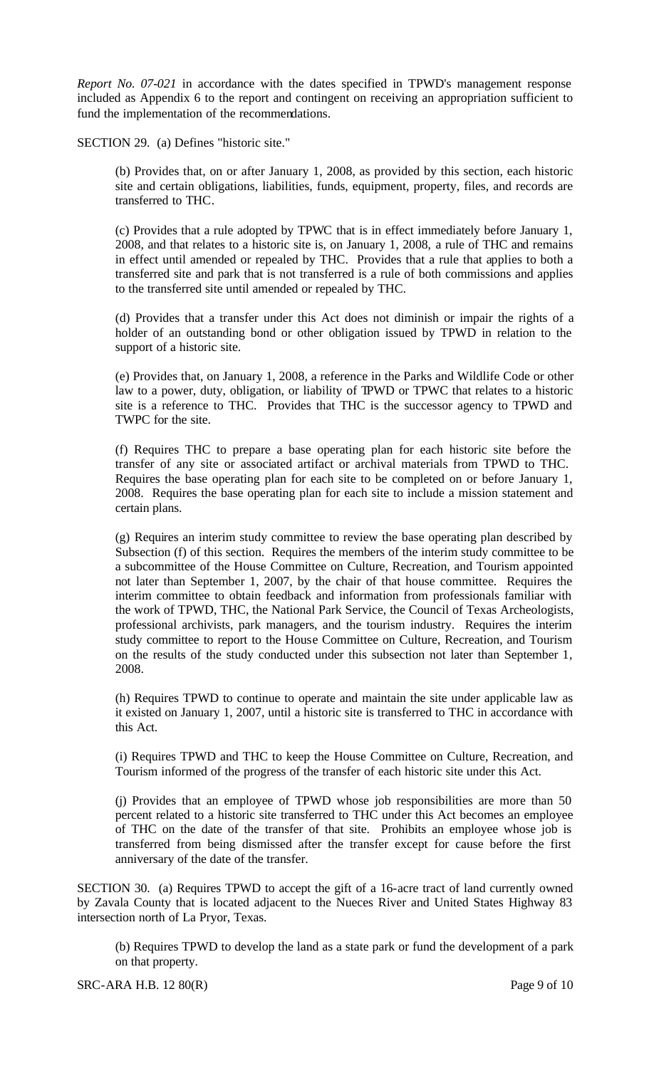*Report No. 07-021* in accordance with the dates specified in TPWD's management response included as Appendix 6 to the report and contingent on receiving an appropriation sufficient to fund the implementation of the recommendations.

SECTION 29. (a) Defines "historic site."

(b) Provides that, on or after January 1, 2008, as provided by this section, each historic site and certain obligations, liabilities, funds, equipment, property, files, and records are transferred to THC.

(c) Provides that a rule adopted by TPWC that is in effect immediately before January 1, 2008, and that relates to a historic site is, on January 1, 2008, a rule of THC and remains in effect until amended or repealed by THC. Provides that a rule that applies to both a transferred site and park that is not transferred is a rule of both commissions and applies to the transferred site until amended or repealed by THC.

(d) Provides that a transfer under this Act does not diminish or impair the rights of a holder of an outstanding bond or other obligation issued by TPWD in relation to the support of a historic site.

(e) Provides that, on January 1, 2008, a reference in the Parks and Wildlife Code or other law to a power, duty, obligation, or liability of TPWD or TPWC that relates to a historic site is a reference to THC. Provides that THC is the successor agency to TPWD and TWPC for the site.

(f) Requires THC to prepare a base operating plan for each historic site before the transfer of any site or associated artifact or archival materials from TPWD to THC. Requires the base operating plan for each site to be completed on or before January 1, 2008. Requires the base operating plan for each site to include a mission statement and certain plans.

(g) Requires an interim study committee to review the base operating plan described by Subsection (f) of this section. Requires the members of the interim study committee to be a subcommittee of the House Committee on Culture, Recreation, and Tourism appointed not later than September 1, 2007, by the chair of that house committee. Requires the interim committee to obtain feedback and information from professionals familiar with the work of TPWD, THC, the National Park Service, the Council of Texas Archeologists, professional archivists, park managers, and the tourism industry. Requires the interim study committee to report to the House Committee on Culture, Recreation, and Tourism on the results of the study conducted under this subsection not later than September 1, 2008.

(h) Requires TPWD to continue to operate and maintain the site under applicable law as it existed on January 1, 2007, until a historic site is transferred to THC in accordance with this Act.

(i) Requires TPWD and THC to keep the House Committee on Culture, Recreation, and Tourism informed of the progress of the transfer of each historic site under this Act.

(j) Provides that an employee of TPWD whose job responsibilities are more than 50 percent related to a historic site transferred to THC under this Act becomes an employee of THC on the date of the transfer of that site. Prohibits an employee whose job is transferred from being dismissed after the transfer except for cause before the first anniversary of the date of the transfer.

SECTION 30. (a) Requires TPWD to accept the gift of a 16-acre tract of land currently owned by Zavala County that is located adjacent to the Nueces River and United States Highway 83 intersection north of La Pryor, Texas.

(b) Requires TPWD to develop the land as a state park or fund the development of a park on that property.